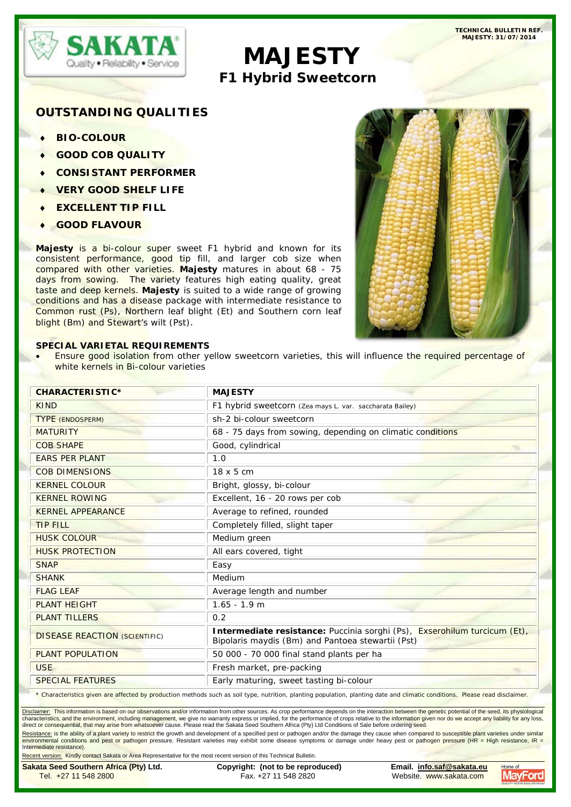

# **MAJESTY**<br>F1 Hybrid Sweetcorn

# **OUTSTANDING QUALITIES**

♦ **BIO-COLOUR**

- ♦ **GOOD COB QUALITY**
- ♦ **CONSISTANT PERFORMER**
- **VERY GOOD SHELF LIFE**
- ♦ **EXCELLENT TIP FILL**
- **GOOD FLAVOUR**

**Majesty** is a bi-colour super sweet F1 hybrid and known for its consistent performance, good tip fill, and larger cob size when compared with other varieties. **Majesty** matures in about 68 - 75 days from sowing. The variety features high eating quality, great taste and deep kernels. **Majesty** is suited to a wide range of growing conditions and has a disease package with intermediate resistance to Common rust (Ps), Northern leaf blight (Et) and Southern corn leaf blight (Bm) and Stewart's wilt (Pst).

## **SPECIAL VARIETAL REQUIREMENTS**

Ensure good isolation from other yellow sweetcorn varieties, this will influence the required percentage of white kernels in Bi-colour varieties

| <b>MAJESTY</b>                                                                                                                                                               |  |  |
|------------------------------------------------------------------------------------------------------------------------------------------------------------------------------|--|--|
| F1 hybrid sweetcorn (Zea mays L. var. saccharata Bailey)                                                                                                                     |  |  |
| sh-2 bi-colour sweetcorn                                                                                                                                                     |  |  |
| 68 - 75 days from sowing, depending on climatic conditions                                                                                                                   |  |  |
| Good, cylindrical                                                                                                                                                            |  |  |
| 1.0                                                                                                                                                                          |  |  |
|                                                                                                                                                                              |  |  |
| Bright, glossy, bi-colour                                                                                                                                                    |  |  |
| Excellent, 16 - 20 rows per cob                                                                                                                                              |  |  |
| Average to refined, rounded                                                                                                                                                  |  |  |
|                                                                                                                                                                              |  |  |
|                                                                                                                                                                              |  |  |
| All ears covered, tight                                                                                                                                                      |  |  |
| Easy                                                                                                                                                                         |  |  |
| Medium                                                                                                                                                                       |  |  |
|                                                                                                                                                                              |  |  |
|                                                                                                                                                                              |  |  |
|                                                                                                                                                                              |  |  |
| Intermediate resistance: Puccinia sorghi (Ps), Exserohilum turcicum (Et),<br>Bipolaris maydis (Bm) and Pantoea stewartii (Pst)                                               |  |  |
| 50 000 - 70 000 final stand plants per ha                                                                                                                                    |  |  |
| Fresh market, pre-packing                                                                                                                                                    |  |  |
| Early maturing, sweet tasting bi-colour                                                                                                                                      |  |  |
| * Characteristics given are affected by production methods such as soil type, nutrition, planting population, planting date and climatic conditions. Please read disclaimer. |  |  |

\* Characteristics given are affected by production methods such as soil type, nutrition, planting population, planting date and climatic conditions. Please read disclaimer.

Disclaimer: This information is based on our observations and/or information from other sources. As crop performance depends on the interaction between the genetic potential of the seed, its physiological characteristics, and the environment, including management, we give no warranty express or implied, for the performance of crops relative to the information given nor do we accept any liability for any loss, direct or consequential, that may arise from whatsoever cause. Please read the Sakata Seed Southern Africa (Pty) Ltd Conditions of Sale before ordering seed.

<u>Resistance:</u> is the ability of a plant variety to restrict the growth and development of a specified pest or pathogen and/or the damage they cause when compared to susceptible plant varieties under similar<br>environmental c Intermediate resistance).

Recent version: Kindly contact Sakata or Area Representative for the most recent version of this Technical Bulletin. **Sakata Seed Southern Africa (Pty) Ltd. Copyright: (not to be reproduced) Email. [info.saf@sakata.eu](mailto:info.saf@sakata.eu) MayFord** Fax. +27 11 548 2820 Website. www.sakata.com